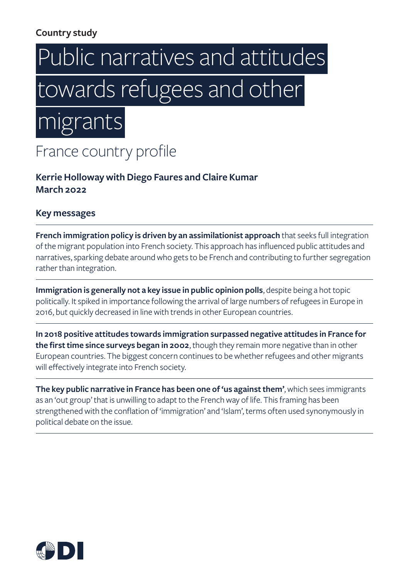# **Country study**

# Public narratives and attitudes  towards refugees and other

 migrants 

France country profile

**Kerrie Holloway with Diego Faures and Claire Kumar March 2022**

### **Key messages**

**French immigration policy is driven by an assimilationist approach** that seeks full integration of the migrant population into French society. This approach has influenced public attitudes and narratives, sparking debate around who gets to be French and contributing to further segregation rather than integration.

**Immigration is generally not a key issue in public opinion polls**, despite being a hot topic politically. It spiked in importance following the arrival of large numbers of refugees in Europe in 2016, but quickly decreased in line with trends in other European countries.

**In 2018 positive attitudes towards immigration surpassed negative attitudes in France for the first time since surveys began in 2002**, though they remain more negative than in other European countries. The biggest concern continues to be whether refugees and other migrants will effectively integrate into French society.

**The key public narrative in France has been one of 'us against them'**, which sees immigrants as an 'out group' that is unwilling to adapt to the French way of life. This framing has been strengthened with the conflation of 'immigration' and 'Islam', terms often used synonymously in political debate on the issue.

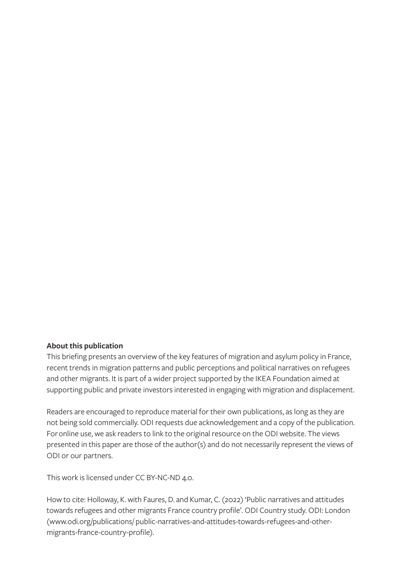#### **About this publication**

This briefing presents an overview of the key features of migration and asylum policy in France, recent trends in migration patterns and public perceptions and political narratives on refugees and other migrants. It is part of a wider project supported by the IKEA Foundation aimed at supporting public and private investors interested in engaging with migration and displacement.

Readers are encouraged to reproduce material for their own publications, as long as they are not being sold commercially. ODI requests due acknowledgement and a copy of the publication. For online use, we ask readers to link to the original resource on the ODI website. The views presented in this paper are those of the author(s) and do not necessarily represent the views of ODI or our partners.

This work is licensed under CC BY-NC-ND 4.0.

How to cite: Holloway, K. with Faures, D. and Kumar, C. (2022) 'Public narratives and attitudes towards refugees and other migrants France country profile'. ODI Country study. ODI: London [\(www.odi.org/publications/ public-narratives-and-attitudes-towards-refugees-and-other](http://www.odi.org/publications/ public-narratives-and-attitudes-towards-refugees-and-other-migrants-france)[migrants-france-country-profile](http://www.odi.org/publications/ public-narratives-and-attitudes-towards-refugees-and-other-migrants-france)).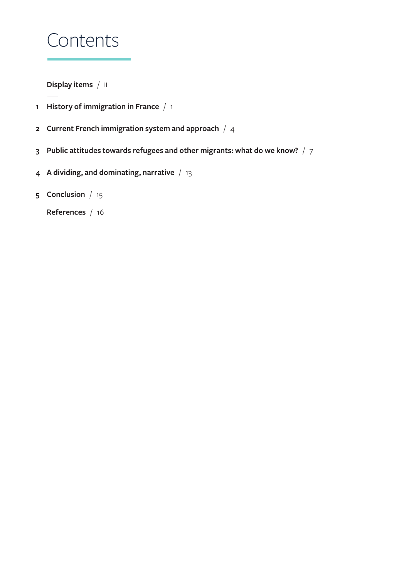# Contents

**[Display items](#page-3-0)** / ii

- **[History of immigration in France](#page-4-0)** / 1
- **[Current French immigration system and approach](#page-7-0)** / 4
- **[Public attitudes towards refugees and other migrants: what do we know?](#page-10-0)** / 7
- **[A dividing, and dominating, narrative](#page-16-0)** / 13
- **[Conclusion](#page-18-0)** / 15

**[References](#page-19-0)** / 16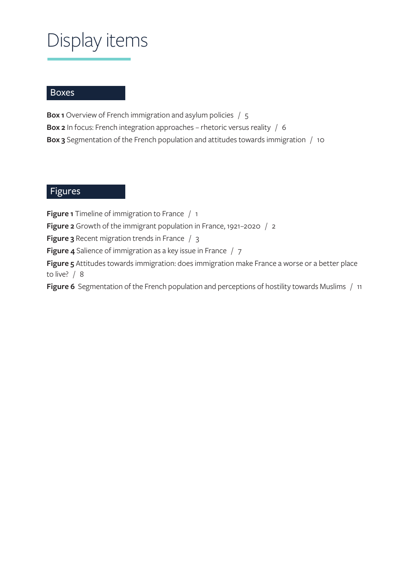# <span id="page-3-0"></span>Display items

### **Boxes**

**Box 1** [Overview of French immigration and asylum policies](#page-8-0) / 5

**Box 2** [In focus: French integration approaches – rhetoric versus reality](#page-9-0) / 6

**Box 3** [Segmentation of the French population and attitudes towards immigration](#page-13-0) / 10

### Figures

**Figure 1** [Timeline of immigration to France](#page-4-0) / 1

**Figure 2** [Growth of the immigrant population in France, 1921–2020](#page-5-0) / 2

**Figure 3** [Recent migration trends in France](#page-6-0) / 3

**Figure 4** [Salience of immigration as a key issue in France](#page-10-0) / 7

**Figure 5** [Attitudes towards immigration: does immigration make France a worse or a better place](#page-11-0)  [to live?](#page-11-0) / 8

**Figure 6** [Segmentation of the French population and perceptions of hostility towards Muslims](#page-14-0) / 11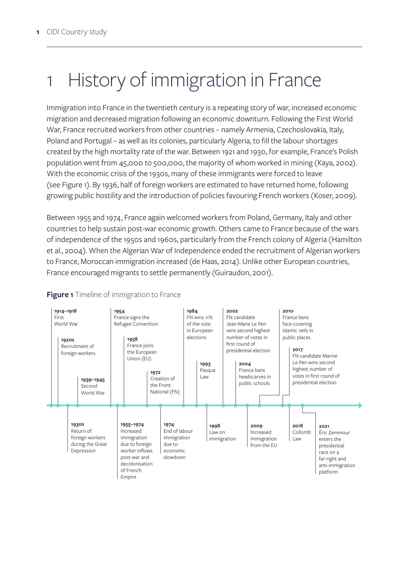# <span id="page-4-0"></span>1 History of immigration in France

Immigration into France in the twentieth century is a repeating story of war, increased economic migration and decreased migration following an economic downturn. Following the First World War, France recruited workers from other countries – namely Armenia, Czechoslovakia, Italy, Poland and Portugal – as well as its colonies, particularly Algeria, to fill the labour shortages created by the high mortality rate of the war. Between 1921 and 1930, for example, France's Polish population went from 45,000 to 500,000, the majority of whom worked in mining (Kaya, 2002). With the economic crisis of the 1930s, many of these immigrants were forced to leave (see Figure 1). By 1936, half of foreign workers are estimated to have returned home, following growing public hostility and the introduction of policies favouring French workers (Koser, 2009).

Between 1955 and 1974, France again welcomed workers from Poland, Germany, Italy and other countries to help sustain post-war economic growth. Others came to France because of the wars of independence of the 1950s and 1960s, particularly from the French colony of Algeria (Hamilton et al., 2004). When the Algerian War of Independence ended the recruitment of Algerian workers to France, Moroccan immigration increased (de Haas, 2014). Unlike other European countries, France encouraged migrants to settle permanently (Guiraudon, 2001).



### **Figure 1** Timeline of immigration to France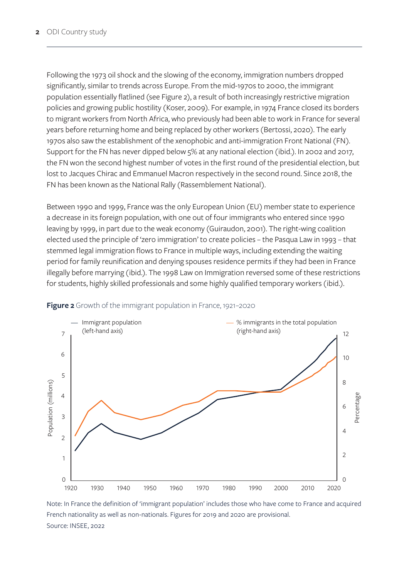<span id="page-5-0"></span>Following the 1973 oil shock and the slowing of the economy, immigration numbers dropped significantly, similar to trends across Europe. From the mid-1970s to 2000, the immigrant population essentially flatlined (see Figure 2), a result of both increasingly restrictive migration policies and growing public hostility (Koser, 2009). For example, in 1974 France closed its borders to migrant workers from North Africa, who previously had been able to work in France for several years before returning home and being replaced by other workers (Bertossi, 2020). The early 1970s also saw the establishment of the xenophobic and anti-immigration Front National (FN). Support for the FN has never dipped below 5% at any national election (ibid.). In 2002 and 2017, the FN won the second highest number of votes in the first round of the presidential election, but lost to Jacques Chirac and Emmanuel Macron respectively in the second round. Since 2018, the FN has been known as the National Rally (Rassemblement National).

Between 1990 and 1999, France was the only European Union (EU) member state to experience a decrease in its foreign population, with one out of four immigrants who entered since 1990 leaving by 1999, in part due to the weak economy (Guiraudon, 2001). The right-wing coalition elected used the principle of 'zero immigration' to create policies – the Pasqua Law in 1993 – that stemmed legal immigration flows to France in multiple ways, including extending the waiting period for family reunification and denying spouses residence permits if they had been in France illegally before marrying (ibid.). The 1998 Law on Immigration reversed some of these restrictions for students, highly skilled professionals and some highly qualified temporary workers (ibid.).



#### **Figure 2** Growth of the immigrant population in France, 1921–2020

Note: In France the definition of 'immigrant population' includes those who have come to France and acquired French nationality as well as non-nationals. Figures for 2019 and 2020 are provisional. Source: INSEE, 2022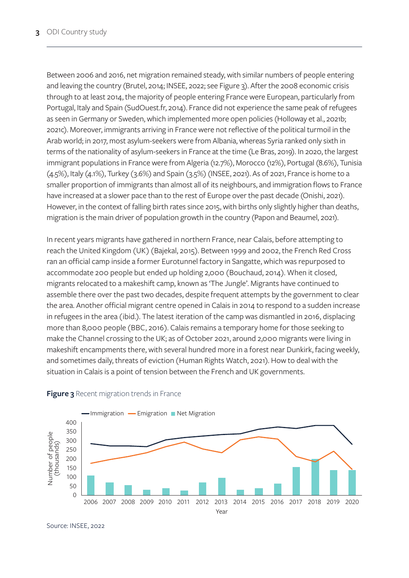<span id="page-6-0"></span>Between 2006 and 2016, net migration remained steady, with similar numbers of people entering and leaving the country (Brutel, 2014; INSEE, 2022; see Figure 3). After the 2008 economic crisis through to at least 2014, the majority of people entering France were European, particularly from Portugal, Italy and Spain (SudOuest.fr, 2014). France did not experience the same peak of refugees as seen in Germany or Sweden, which implemented more open policies (Holloway et al., 2021b; 2021c). Moreover, immigrants arriving in France were not reflective of the political turmoil in the Arab world; in 2017, most asylum-seekers were from Albania, whereas Syria ranked only sixth in terms of the nationality of asylum-seekers in France at the time (Le Bras, 2019). In 2020, the largest immigrant populations in France were from Algeria (12.7%), Morocco (12%), Portugal (8.6%), Tunisia (4.5%), Italy (4.1%), Turkey (3.6%) and Spain (3.5%) (INSEE, 2021). As of 2021, France is home to a smaller proportion of immigrants than almost all of its neighbours, and immigration flows to France have increased at a slower pace than to the rest of Europe over the past decade (Onishi, 2021). However, in the context of falling birth rates since 2015, with births only slightly higher than deaths, migration is the main driver of population growth in the country (Papon and Beaumel, 2021).

In recent years migrants have gathered in northern France, near Calais, before attempting to reach the United Kingdom (UK) (Bajekal, 2015). Between 1999 and 2002, the French Red Cross ran an official camp inside a former Eurotunnel factory in Sangatte, which was repurposed to accommodate 200 people but ended up holding 2,000 (Bouchaud, 2014). When it closed, migrants relocated to a makeshift camp, known as 'The Jungle'. Migrants have continued to assemble there over the past two decades, despite frequent attempts by the government to clear the area. Another official migrant centre opened in Calais in 2014 to respond to a sudden increase in refugees in the area (ibid.). The latest iteration of the camp was dismantled in 2016, displacing more than 8,000 people (BBC, 2016). Calais remains a temporary home for those seeking to make the Channel crossing to the UK; as of October 2021, around 2,000 migrants were living in makeshift encampments there, with several hundred more in a forest near Dunkirk, facing weekly, and sometimes daily, threats of eviction (Human Rights Watch, 2021). How to deal with the situation in Calais is a point of tension between the French and UK governments.



#### **Figure 3** Recent migration trends in France

Source: INSEE, 2022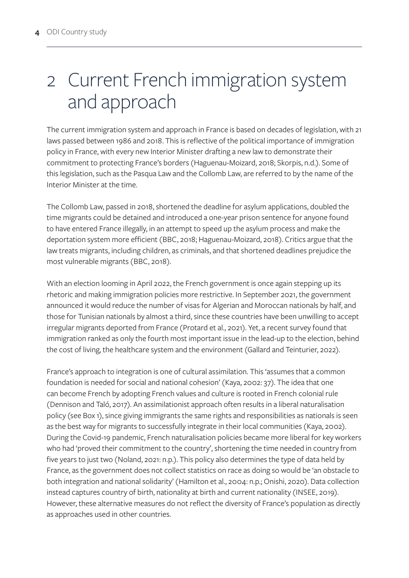# <span id="page-7-0"></span>2 Current French immigration system and approach

The current immigration system and approach in France is based on decades of legislation, with 21 laws passed between 1986 and 2018. This is reflective of the political importance of immigration policy in France, with every new Interior Minister drafting a new law to demonstrate their commitment to protecting France's borders (Haguenau-Moizard, 2018; Skorpis, n.d.). Some of this legislation, such as the Pasqua Law and the Collomb Law, are referred to by the name of the Interior Minister at the time.

The Collomb Law, passed in 2018, shortened the deadline for asylum applications, doubled the time migrants could be detained and introduced a one-year prison sentence for anyone found to have entered France illegally, in an attempt to speed up the asylum process and make the deportation system more efficient (BBC, 2018; Haguenau-Moizard, 2018). Critics argue that the law treats migrants, including children, as criminals, and that shortened deadlines prejudice the most vulnerable migrants (BBC, 2018).

With an election looming in April 2022, the French government is once again stepping up its rhetoric and making immigration policies more restrictive. In September 2021, the government announced it would reduce the number of visas for Algerian and Moroccan nationals by half, and those for Tunisian nationals by almost a third, since these countries have been unwilling to accept irregular migrants deported from France (Protard et al., 2021). Yet, a recent survey found that immigration ranked as only the fourth most important issue in the lead-up to the election, behind the cost of living, the healthcare system and the environment (Gallard and Teinturier, 2022).

France's approach to integration is one of cultural assimilation. This 'assumes that a common foundation is needed for social and national cohesion' (Kaya, 2002: 37). The idea that one can become French by adopting French values and culture is rooted in French colonial rule (Dennison and Taló, 2017). An assimilationist approach often results in a liberal naturalisation policy (see Box 1), since giving immigrants the same rights and responsibilities as nationals is seen as the best way for migrants to successfully integrate in their local communities (Kaya, 2002). During the Covid-19 pandemic, French naturalisation policies became more liberal for key workers who had 'proved their commitment to the country', shortening the time needed in country from five years to just two (Noland, 2021: n.p.). This policy also determines the type of data held by France, as the government does not collect statistics on race as doing so would be 'an obstacle to both integration and national solidarity' (Hamilton et al., 2004: n.p.; Onishi, 2020). Data collection instead captures country of birth, nationality at birth and current nationality (INSEE, 2019). However, these alternative measures do not reflect the diversity of France's population as directly as approaches used in other countries.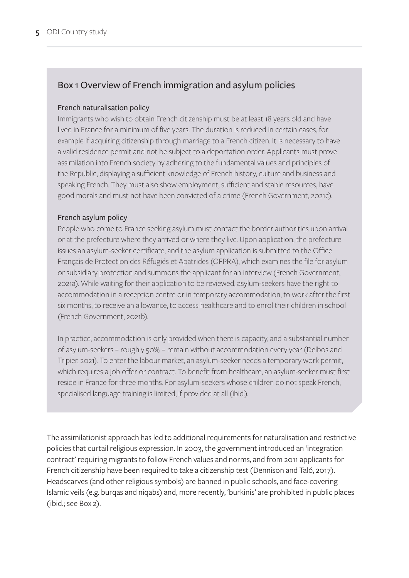# <span id="page-8-0"></span>Box 1 Overview of French immigration and asylum policies

### French naturalisation policy

Immigrants who wish to obtain French citizenship must be at least 18 years old and have lived in France for a minimum of five years. The duration is reduced in certain cases, for example if acquiring citizenship through marriage to a French citizen. It is necessary to have a valid residence permit and not be subject to a deportation order. Applicants must prove assimilation into French society by adhering to the fundamental values and principles of the Republic, displaying a sufficient knowledge of French history, culture and business and speaking French. They must also show employment, sufficient and stable resources, have good morals and must not have been convicted of a crime (French Government, 2021c).

### French asylum policy

People who come to France seeking asylum must contact the border authorities upon arrival or at the prefecture where they arrived or where they live. Upon application, the prefecture issues an asylum-seeker certificate, and the asylum application is submitted to the Office Français de Protection des Réfugiés et Apatrides (OFPRA), which examines the file for asylum or subsidiary protection and summons the applicant for an interview (French Government, 2021a). While waiting for their application to be reviewed, asylum-seekers have the right to accommodation in a reception centre or in temporary accommodation, to work after the first six months, to receive an allowance, to access healthcare and to enrol their children in school (French Government, 2021b).

In practice, accommodation is only provided when there is capacity, and a substantial number of asylum-seekers – roughly 50% – remain without accommodation every year (Delbos and Tripier, 2021). To enter the labour market, an asylum-seeker needs a temporary work permit, which requires a job offer or contract. To benefit from healthcare, an asylum-seeker must first reside in France for three months. For asylum-seekers whose children do not speak French, specialised language training is limited, if provided at all (ibid.).

The assimilationist approach has led to additional requirements for naturalisation and restrictive policies that curtail religious expression. In 2003, the government introduced an 'integration contract' requiring migrants to follow French values and norms, and from 2011 applicants for French citizenship have been required to take a citizenship test (Dennison and Taló, 2017). Headscarves (and other religious symbols) are banned in public schools, and face-covering Islamic veils (e.g. burqas and niqabs) and, more recently, 'burkinis' are prohibited in public places (ibid.; see Box 2).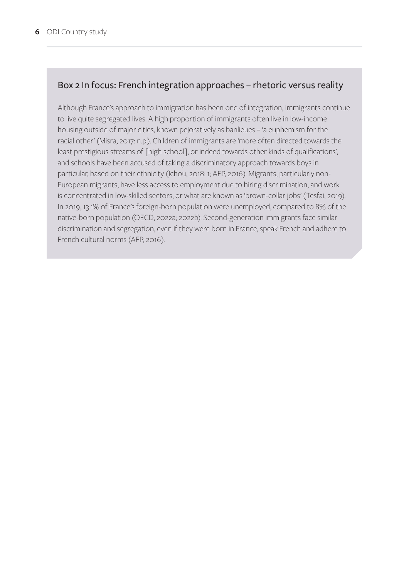### <span id="page-9-0"></span>Box 2 In focus: French integration approaches – rhetoric versus reality

Although France's approach to immigration has been one of integration, immigrants continue to live quite segregated lives. A high proportion of immigrants often live in low-income housing outside of major cities, known pejoratively as banlieues – 'a euphemism for the racial other' (Misra, 2017: n.p.). Children of immigrants are 'more often directed towards the least prestigious streams of [high school], or indeed towards other kinds of qualifications', and schools have been accused of taking a discriminatory approach towards boys in particular, based on their ethnicity (Ichou, 2018: 1; AFP, 2016). Migrants, particularly non-European migrants, have less access to employment due to hiring discrimination, and work is concentrated in low-skilled sectors, or what are known as 'brown-collar jobs' (Tesfai, 2019). In 2019, 13.1% of France's foreign-born population were unemployed, compared to 8% of the native-born population (OECD, 2022a; 2022b). Second-generation immigrants face similar discrimination and segregation, even if they were born in France, speak French and adhere to French cultural norms (AFP, 2016).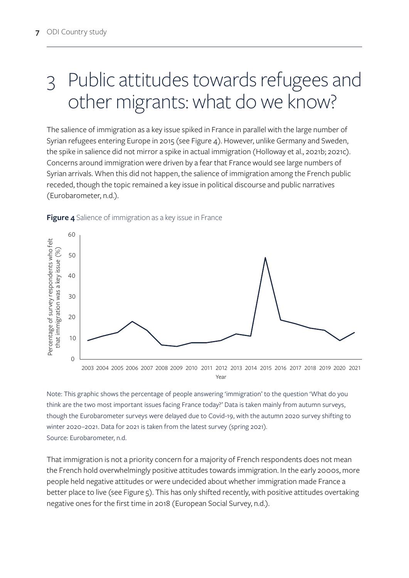# <span id="page-10-0"></span>3 Public attitudes towards refugees and other migrants: what do we know?

The salience of immigration as a key issue spiked in France in parallel with the large number of Syrian refugees entering Europe in 2015 (see Figure 4). However, unlike Germany and Sweden, the spike in salience did not mirror a spike in actual immigration (Holloway et al., 2021b; 2021c). Concerns around immigration were driven by a fear that France would see large numbers of Syrian arrivals. When this did not happen, the salience of immigration among the French public receded, though the topic remained a key issue in political discourse and public narratives (Eurobarometer, n.d.).



#### **Figure 4** Salience of immigration as a key issue in France

Note: This graphic shows the percentage of people answering 'immigration' to the question 'What do you think are the two most important issues facing France today?' Data is taken mainly from autumn surveys, though the Eurobarometer surveys were delayed due to Covid-19, with the autumn 2020 survey shifting to winter 2020–2021. Data for 2021 is taken from the latest survey (spring 2021). Source: Eurobarometer, n.d.

That immigration is not a priority concern for a majority of French respondents does not mean the French hold overwhelmingly positive attitudes towards immigration. In the early 2000s, more people held negative attitudes or were undecided about whether immigration made France a better place to live (see Figure 5). This has only shifted recently, with positive attitudes overtaking negative ones for the first time in 2018 (European Social Survey, n.d.).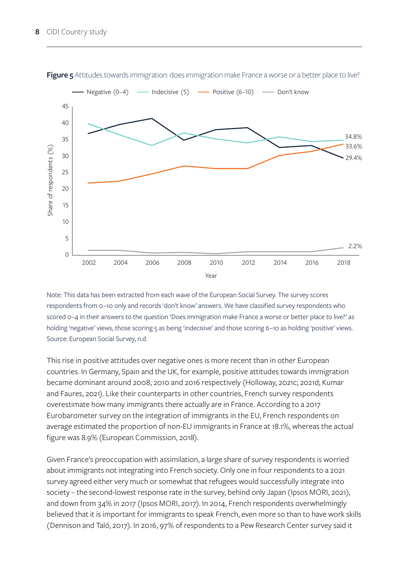

<span id="page-11-0"></span>**Figure 5** Attitudes towards immigration: does immigration make France a worse or a better place to live?

Note: This data has been extracted from each wave of the European Social Survey. The survey scores respondents from 0–10 only and records 'don't know' answers. We have classified survey respondents who scored 0–4 in their answers to the question 'Does immigration make France a worse or better place to live?' as holding 'negative' views, those scoring 5 as being 'indecisive' and those scoring 6-10 as holding 'positive' views. Source: European Social Survey, n.d.

This rise in positive attitudes over negative ones is more recent than in other European countries. In Germany, Spain and the UK, for example, positive attitudes towards immigration became dominant around 2008, 2010 and 2016 respectively (Holloway, 2021c; 2021d; Kumar and Faures, 2021). Like their counterparts in other countries, French survey respondents overestimate how many immigrants there actually are in France. According to a 2017 Eurobarometer survey on the integration of immigrants in the EU, French respondents on average estimated the proportion of non-EU immigrants in France at 18.1%, whereas the actual figure was 8.9% (European Commission, 2018).

Given France's preoccupation with assimilation, a large share of survey respondents is worried about immigrants not integrating into French society. Only one in four respondents to a 2021 survey agreed either very much or somewhat that refugees would successfully integrate into society – the second-lowest response rate in the survey, behind only Japan (Ipsos MORI, 2021), and down from 34% in 2017 (Ipsos MORI, 2017). In 2014, French respondents overwhelmingly believed that it is important for immigrants to speak French, even more so than to have work skills (Dennison and Taló, 2017). In 2016, 97% of respondents to a Pew Research Center survey said it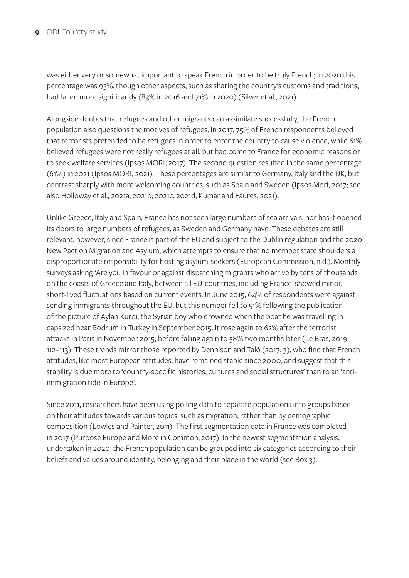was either very or somewhat important to speak French in order to be truly French; in 2020 this percentage was 93%, though other aspects, such as sharing the country's customs and traditions, had fallen more significantly (83% in 2016 and 71% in 2020) (Silver et al., 2021).

Alongside doubts that refugees and other migrants can assimilate successfully, the French population also questions the motives of refugees. In 2017, 75% of French respondents believed that terrorists pretended to be refugees in order to enter the country to cause violence, while 61% believed refugees were not really refugees at all, but had come to France for economic reasons or to seek welfare services (Ipsos MORI, 2017). The second question resulted in the same percentage (61%) in 2021 (Ipsos MORI, 2021). These percentages are similar to Germany, Italy and the UK, but contrast sharply with more welcoming countries, such as Spain and Sweden (Ipsos Mori, 2017; see also Holloway et al., 2021a; 2021b; 2021c; 2021d; Kumar and Faures, 2021).

Unlike Greece, Italy and Spain, France has not seen large numbers of sea arrivals, nor has it opened its doors to large numbers of refugees, as Sweden and Germany have. These debates are still relevant, however, since France is part of the EU and subject to the Dublin regulation and the 2020 New Pact on Migration and Asylum, which attempts to ensure that no member state shoulders a disproportionate responsibility for hosting asylum-seekers (European Commission, n.d.). Monthly surveys asking 'Are you in favour or against dispatching migrants who arrive by tens of thousands on the coasts of Greece and Italy, between all EU-countries, including France' showed minor, short-lived fluctuations based on current events. In June 2015, 64% of respondents were against sending immigrants throughout the EU, but this number fell to 51% following the publication of the picture of Aylan Kurdi, the Syrian boy who drowned when the boat he was travelling in capsized near Bodrum in Turkey in September 2015. It rose again to 62% after the terrorist attacks in Paris in November 2015, before falling again to 58% two months later (Le Bras, 2019: 112–113). These trends mirror those reported by Dennison and Taló (2017: 3), who find that French attitudes, like most European attitudes, have remained stable since 2000, and suggest that this stability is due more to 'country-specific histories, cultures and social structures' than to an 'antiimmigration tide in Europe'.

Since 2011, researchers have been using polling data to separate populations into groups based on their attitudes towards various topics, such as migration, rather than by demographic composition (Lowles and Painter, 2011). The first segmentation data in France was completed in 2017 (Purpose Europe and More in Common, 2017). In the newest segmentation analysis, undertaken in 2020, the French population can be grouped into six categories according to their beliefs and values around identity, belonging and their place in the world (see Box 3).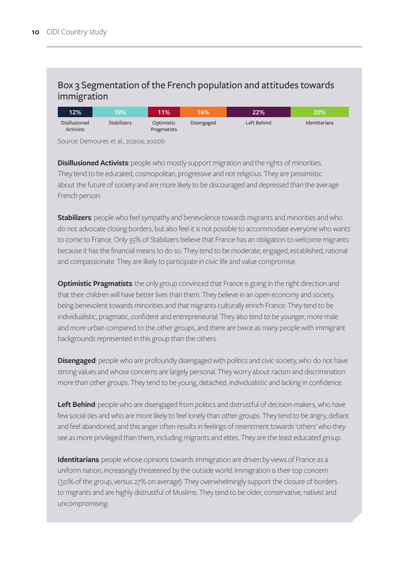### <span id="page-13-0"></span>Box 3 Segmentation of the French population and attitudes towards immigration

| $12\%$                            | 19%'               | 11%                       | 16%        | 22%         | $20\%$               |
|-----------------------------------|--------------------|---------------------------|------------|-------------|----------------------|
| Disillusioned<br><b>Activists</b> | <b>Stabilizers</b> | Optimistic<br>Pragmatists | Disengaged | Left Behind | <b>Identitarians</b> |

Source: Demoures et al., 2020a; 2020b

**Disillusioned Activists**: people who mostly support migration and the rights of minorities. They tend to be educated, cosmopolitan, progressive and not religious. They are pessimistic about the future of society and are more likely to be discouraged and depressed than the average French person.

**Stabilizers**: people who feel sympathy and benevolence towards migrants and minorities and who do not advocate closing borders, but also feel it is not possible to accommodate everyone who wants to come to France. Only 35% of Stabilizers believe that France has an obligation to welcome migrants because it has the financial means to do so. They tend to be moderate, engaged, established, rational and compassionate. They are likely to participate in civic life and value compromise.

**Optimistic Pragmatists**: the only group convinced that France is going in the right direction and that their children will have better lives than them. They believe in an open economy and society, being benevolent towards minorities and that migrants culturally enrich France. They tend to be individualistic, pragmatic, confident and entrepreneurial. They also tend to be younger, more male and more urban compared to the other groups, and there are twice as many people with immigrant backgrounds represented in this group than the others.

**Disengaged**: people who are profoundly disengaged with politics and civic society, who do not have strong values and whose concerns are largely personal. They worry about racism and discrimination more than other groups. They tend to be young, detached, individualistic and lacking in confidence.

**Left Behind**: people who are disengaged from politics and distrustful of decision-makers, who have few social ties and who are more likely to feel lonely than other groups. They tend to be angry, defiant and feel abandoned, and this anger often results in feelings of resentment towards 'others' who they see as more privileged than them, including migrants and elites. They are the least educated group.

**Identitarians**: people whose opinions towards immigration are driven by views of France as a uniform nation, increasingly threatened by the outside world. Immigration is their top concern (50% of the group, versus 27% on average). They overwhelmingly support the closure of borders to migrants and are highly distrustful of Muslims. They tend to be older, conservative, nativist and uncompromising.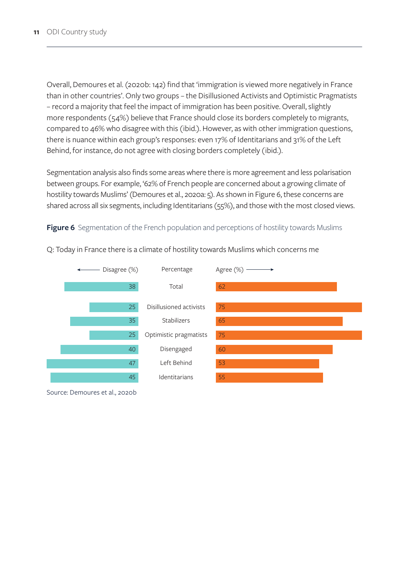<span id="page-14-0"></span>Overall, Demoures et al. (2020b: 142) find that 'immigration is viewed more negatively in France than in other countries'. Only two groups – the Disillusioned Activists and Optimistic Pragmatists – record a majority that feel the impact of immigration has been positive. Overall, slightly more respondents (54%) believe that France should close its borders completely to migrants, compared to 46% who disagree with this (ibid.). However, as with other immigration questions, there is nuance within each group's responses: even 17% of Identitarians and 31% of the Left Behind, for instance, do not agree with closing borders completely (ibid.).

Segmentation analysis also finds some areas where there is more agreement and less polarisation between groups. For example, '62% of French people are concerned about a growing climate of hostility towards Muslims' (Demoures et al., 2020a: 5). As shown in Figure 6, these concerns are shared across all six segments, including Identitarians (55%), and those with the most closed views.

#### **Figure 6** Segmentation of the French population and perceptions of hostility towards Muslims



Q: Today in France there is a climate of hostility towards Muslims which concerns me

Source: Demoures et al., 2020b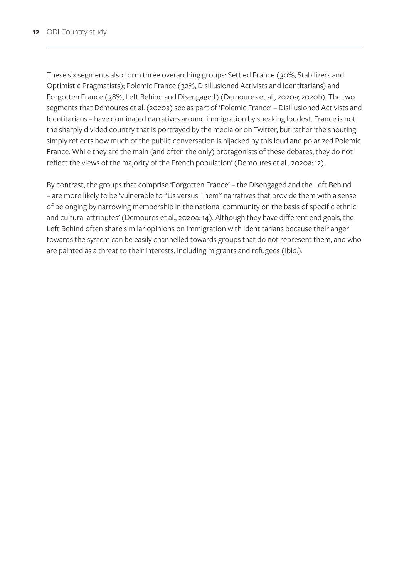These six segments also form three overarching groups: Settled France (30%, Stabilizers and Optimistic Pragmatists); Polemic France (32%, Disillusioned Activists and Identitarians) and Forgotten France (38%, Left Behind and Disengaged) (Demoures et al., 2020a; 2020b). The two segments that Demoures et al. (2020a) see as part of 'Polemic France' – Disillusioned Activists and Identitarians – have dominated narratives around immigration by speaking loudest. France is not the sharply divided country that is portrayed by the media or on Twitter, but rather 'the shouting simply reflects how much of the public conversation is hijacked by this loud and polarized Polemic France. While they are the main (and often the only) protagonists of these debates, they do not reflect the views of the majority of the French population' (Demoures et al., 2020a: 12).

By contrast, the groups that comprise 'Forgotten France' – the Disengaged and the Left Behind – are more likely to be 'vulnerable to "Us versus Them" narratives that provide them with a sense of belonging by narrowing membership in the national community on the basis of specific ethnic and cultural attributes' (Demoures et al., 2020a: 14). Although they have different end goals, the Left Behind often share similar opinions on immigration with Identitarians because their anger towards the system can be easily channelled towards groups that do not represent them, and who are painted as a threat to their interests, including migrants and refugees (ibid.).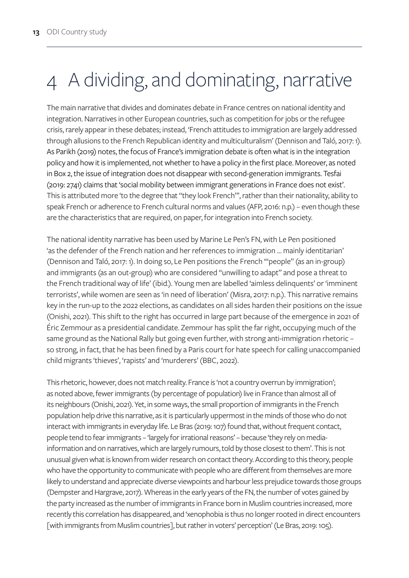# <span id="page-16-0"></span>4 A dividing, and dominating, narrative

The main narrative that divides and dominates debate in France centres on national identity and integration. Narratives in other European countries, such as competition for jobs or the refugee crisis, rarely appear in these debates; instead, 'French attitudes to immigration are largely addressed through allusions to the French Republican identity and multiculturalism' (Dennison and Taló, 2017: 1). As Parikh (2019) notes, the focus of France's immigration debate is often what is in the integration policy and how it is implemented, not whether to have a policy in the first place. Moreover, as noted in Box 2, the issue of integration does not disappear with second-generation immigrants. Tesfai (2019: 2741) claims that 'social mobility between immigrant generations in France does not exist'. This is attributed more 'to the degree that "they look French"', rather than their nationality, ability to speak French or adherence to French cultural norms and values (AFP, 2016: n.p.) – even though these are the characteristics that are required, on paper, for integration into French society.

The national identity narrative has been used by Marine Le Pen's FN, with Le Pen positioned 'as the defender of the French nation and her references to immigration … mainly identitarian' (Dennison and Taló, 2017: 1). In doing so, Le Pen positions the French '"people" (as an in-group) and immigrants (as an out-group) who are considered "unwilling to adapt" and pose a threat to the French traditional way of life' (ibid.). Young men are labelled 'aimless delinquents' or 'imminent terrorists', while women are seen as 'in need of liberation' (Misra, 2017: n.p.). This narrative remains key in the run-up to the 2022 elections, as candidates on all sides harden their positions on the issue (Onishi, 2021). This shift to the right has occurred in large part because of the emergence in 2021 of Éric Zemmour as a presidential candidate. Zemmour has split the far right, occupying much of the same ground as the National Rally but going even further, with strong anti-immigration rhetoric so strong, in fact, that he has been fined by a Paris court for hate speech for calling unaccompanied child migrants 'thieves', 'rapists' and 'murderers' (BBC, 2022).

This rhetoric, however, does not match reality. France is 'not a country overrun by immigration'; as noted above, fewer immigrants (by percentage of population) live in France than almost all of its neighbours (Onishi, 2021). Yet, in some ways, the small proportion of immigrants in the French population help drive this narrative, as it is particularly uppermost in the minds of those who do not interact with immigrants in everyday life. Le Bras (2019: 107) found that, without frequent contact, people tend to fear immigrants – 'largely for irrational reasons' – because 'they rely on mediainformation and on narratives, which are largely rumours, told by those closest to them'. This is not unusual given what is known from wider research on contact theory. According to this theory, people who have the opportunity to communicate with people who are different from themselves are more likely to understand and appreciate diverse viewpoints and harbour less prejudice towards those groups (Dempster and Hargrave, 2017). Whereas in the early years of the FN, the number of votes gained by the party increased as the number of immigrants in France born in Muslim countries increased, more recently this correlation has disappeared, and 'xenophobia is thus no longer rooted in direct encounters [with immigrants from Muslim countries], but rather in voters' perception' (Le Bras, 2019: 105).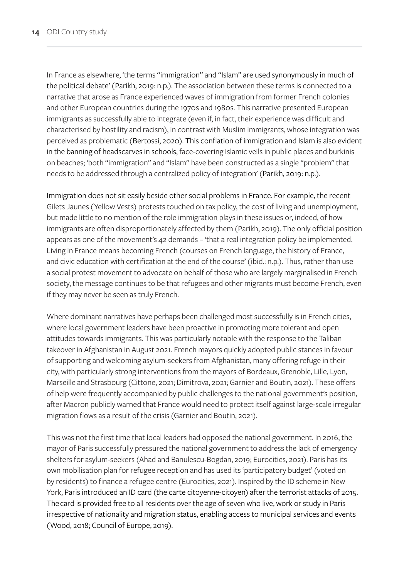In France as elsewhere, 'the terms "immigration" and "Islam" are used synonymously in much of the political debate' (Parikh, 2019: n.p.). The association between these terms is connected to a narrative that arose as France experienced waves of immigration from former French colonies and other European countries during the 1970s and 1980s. This narrative presented European immigrants as successfully able to integrate (even if, in fact, their experience was difficult and characterised by hostility and racism), in contrast with Muslim immigrants, whose integration was perceived as problematic (Bertossi, 2020). This conflation of immigration and Islam is also evident in the banning of headscarves in schools, face-covering Islamic veils in public places and burkinis on beaches; 'both "immigration" and "Islam" have been constructed as a single "problem" that needs to be addressed through a centralized policy of integration' (Parikh, 2019: n.p.).

Immigration does not sit easily beside other social problems in France. For example, the recent Gilets Jaunes (Yellow Vests) protests touched on tax policy, the cost of living and unemployment, but made little to no mention of the role immigration plays in these issues or, indeed, of how immigrants are often disproportionately affected by them (Parikh, 2019). The only official position appears as one of the movement's 42 demands – 'that a real integration policy be implemented. Living in France means becoming French (courses on French language, the history of France, and civic education with certification at the end of the course' (ibid.: n.p.). Thus, rather than use a social protest movement to advocate on behalf of those who are largely marginalised in French society, the message continues to be that refugees and other migrants must become French, even if they may never be seen as truly French.

Where dominant narratives have perhaps been challenged most successfully is in French cities, where local government leaders have been proactive in promoting more tolerant and open attitudes towards immigrants. This was particularly notable with the response to the Taliban takeover in Afghanistan in August 2021. French mayors quickly adopted public stances in favour of supporting and welcoming asylum-seekers from Afghanistan, many offering refuge in their city, with particularly strong interventions from the mayors of Bordeaux, Grenoble, Lille, Lyon, Marseille and Strasbourg (Cittone, 2021; Dimitrova, 2021; Garnier and Boutin, 2021). These offers of help were frequently accompanied by public challenges to the national government's position, after Macron publicly warned that France would need to protect itself against large-scale irregular migration flows as a result of the crisis (Garnier and Boutin, 2021).

This was not the first time that local leaders had opposed the national government. In 2016, the mayor of Paris successfully pressured the national government to address the lack of emergency shelters for asylum-seekers (Ahad and Banulescu-Bogdan, 2019; Eurocities, 2021). Paris has its own mobilisation plan for refugee reception and has used its 'participatory budget' (voted on by residents) to finance a refugee centre (Eurocities, 2021). Inspired by the ID scheme in New York, Paris introduced an ID card (the carte citoyenne-citoyen) after the terrorist attacks of 2015. The card is provided free to all residents over the age of seven who live, work or study in Paris irrespective of nationality and migration status, enabling access to municipal services and events (Wood, 2018; Council of Europe, 2019).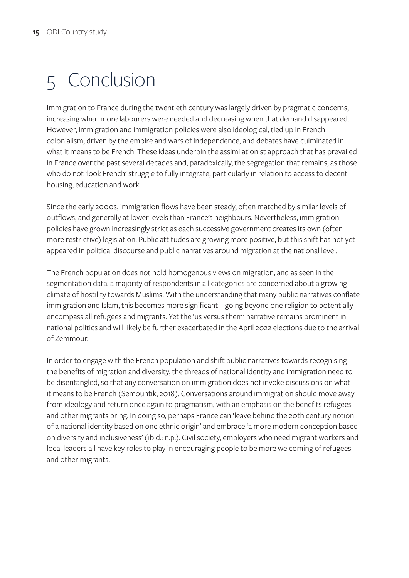# <span id="page-18-0"></span>5 Conclusion

Immigration to France during the twentieth century was largely driven by pragmatic concerns, increasing when more labourers were needed and decreasing when that demand disappeared. However, immigration and immigration policies were also ideological, tied up in French colonialism, driven by the empire and wars of independence, and debates have culminated in what it means to be French. These ideas underpin the assimilationist approach that has prevailed in France over the past several decades and, paradoxically, the segregation that remains, as those who do not 'look French' struggle to fully integrate, particularly in relation to access to decent housing, education and work.

Since the early 2000s, immigration flows have been steady, often matched by similar levels of outflows, and generally at lower levels than France's neighbours. Nevertheless, immigration policies have grown increasingly strict as each successive government creates its own (often more restrictive) legislation. Public attitudes are growing more positive, but this shift has not yet appeared in political discourse and public narratives around migration at the national level.

The French population does not hold homogenous views on migration, and as seen in the segmentation data, a majority of respondents in all categories are concerned about a growing climate of hostility towards Muslims. With the understanding that many public narratives conflate immigration and Islam, this becomes more significant – going beyond one religion to potentially encompass all refugees and migrants. Yet the 'us versus them' narrative remains prominent in national politics and will likely be further exacerbated in the April 2022 elections due to the arrival of Zemmour.

In order to engage with the French population and shift public narratives towards recognising the benefits of migration and diversity, the threads of national identity and immigration need to be disentangled, so that any conversation on immigration does not invoke discussions on what it means to be French (Semountik, 2018). Conversations around immigration should move away from ideology and return once again to pragmatism, with an emphasis on the benefits refugees and other migrants bring. In doing so, perhaps France can 'leave behind the 20th century notion of a national identity based on one ethnic origin' and embrace 'a more modern conception based on diversity and inclusiveness' (ibid.: n.p.). Civil society, employers who need migrant workers and local leaders all have key roles to play in encouraging people to be more welcoming of refugees and other migrants.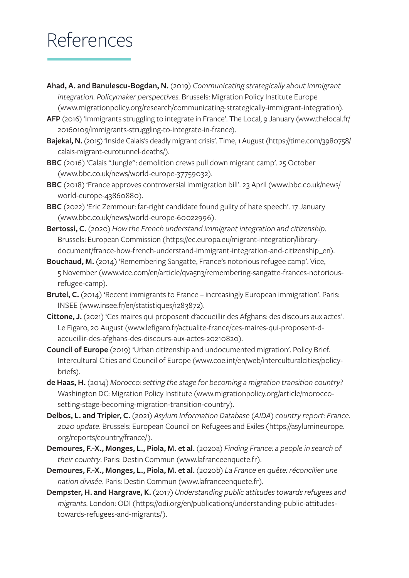# <span id="page-19-0"></span>References

- **Ahad, A. and Banulescu-Bogdan, N.** (2019) *Communicating strategically about immigrant integration. Policymaker perspectives.* Brussels: Migration Policy Institute Europe [\(www.migrationpolicy.org/research/communicating-strategically-immigrant-integration\)](http://www.migrationpolicy.org/research/communicating-strategically-immigrant-integration).
- **AFP** (2016) 'Immigrants struggling to integrate in France'. The Local, 9 January [\(www.thelocal.fr/](http://www.thelocal.fr/20160109/immigrants-struggling-to-integrate-in-france) [20160109/immigrants-struggling-to-integrate-in-france](http://www.thelocal.fr/20160109/immigrants-struggling-to-integrate-in-france)).
- **Bajekal, N.** (2015) 'Inside Calais's deadly migrant crisis'. Time, 1 August [\(https://time.com/3980758/](https://time.com/3980758/calais-migrant-eurotunnel-deaths/) [calais-migrant-eurotunnel-deaths/\)](https://time.com/3980758/calais-migrant-eurotunnel-deaths/).
- **BBC** (2016) 'Calais "Jungle": demolition crews pull down migrant camp'. 25 October [\(www.bbc.co.uk/news/world-europe-37759032\)](http://www.bbc.co.uk/news/world-europe-37759032).
- BBC (2018) 'France approves controversial immigration bill'. 23 April ([www.bbc.co.uk/news/](http://www.bbc.co.uk/news/world-europe-43860880) [world-europe-43860880](http://www.bbc.co.uk/news/world-europe-43860880)).
- **BBC** (2022) 'Eric Zemmour: far-right candidate found guilty of hate speech'. 17 January [\(www.bbc.co.uk/news/world-europe-60022996\)](http://www.bbc.co.uk/news/world-europe-60022996).
- **Bertossi, C.** (2020) *How the French understand immigrant integration and citizenship*. Brussels: European Commission ([https://ec.europa.eu/migrant-integration/library](https://ec.europa.eu/migrant-integration/library-document/france-how-french-understand-immigrant-integration-and-citizenship_en)[document/france-how-french-understand-immigrant-integration-and-citizenship\\_en](https://ec.europa.eu/migrant-integration/library-document/france-how-french-understand-immigrant-integration-and-citizenship_en)).
- **Bouchaud, M.** (2014) 'Remembering Sangatte, France's notorious refugee camp'. Vice, 5 November [\(www.vice.com/en/article/qva5n3/remembering-sangatte-frances-notorious](http://www.vice.com/en/article/qva5n3/remembering-sangatte-frances-notorious-refugee-camp)[refugee-camp\)](http://www.vice.com/en/article/qva5n3/remembering-sangatte-frances-notorious-refugee-camp).
- **Brutel, C.** (2014) 'Recent immigrants to France increasingly European immigration'. Paris: INSEE ([www.insee.fr/en/statistiques/1283872\)](http://www.insee.fr/en/statistiques/1283872).
- **Cittone, J.** (2021) 'Ces maires qui proposent d'accueillir des Afghans: des discours aux actes'. Le Figaro, 20 August [\(www.lefigaro.fr/actualite-france/ces-maires-qui-proposent-d](http://www.lefigaro.fr/actualite-france/ces-maires-qui-proposent-d-accueillir-des-afghans-des-discours-aux-actes-20210820)[accueillir-des-afghans-des-discours-aux-actes-20210820](http://www.lefigaro.fr/actualite-france/ces-maires-qui-proposent-d-accueillir-des-afghans-des-discours-aux-actes-20210820)).
- **Council of Europe** (2019) 'Urban citizenship and undocumented migration'. Policy Brief. Intercultural Cities and Council of Europe [\(www.coe.int/en/web/interculturalcities/policy](http://www.coe.int/en/web/interculturalcities/policy-briefs)[briefs\)](http://www.coe.int/en/web/interculturalcities/policy-briefs).
- **de Haas, H.** (2014) *Morocco: setting the stage for becoming a migration transition country?* Washington DC: Migration Policy Institute [\(www.migrationpolicy.org/article/morocco](http://www.migrationpolicy.org/article/morocco-setting-stage-becoming-migration-transition-country)[setting-stage-becoming-migration-transition-country\)](http://www.migrationpolicy.org/article/morocco-setting-stage-becoming-migration-transition-country).
- **Delbos, L. and Tripier, C.** (2021) *Asylum Information Database (AIDA) country report: France. 2020 update*. Brussels: European Council on Refugees and Exiles ([https://asylumineurope.](https://asylumineurope.org/reports/country/france/) [org/reports/country/france/](https://asylumineurope.org/reports/country/france/)).
- **Demoures, F.-X., Monges, L., Piola, M. et al.** (2020a) *Finding France: a people in search of their country*. Paris: Destin Commun [\(www.lafranceenquete.fr\)](http://www.lafranceenquete.fr).
- **Demoures, F.-X., Monges, L., Piola, M. et al.** (2020b) *La France en quête: réconcilier une nation divisée*. Paris: Destin Commun ([www.lafranceenquete.fr](http://www.lafranceenquete.fr)).
- **Dempster, H. and Hargrave, K.** (2017) *Understanding public attitudes towards refugees and migrants*. London: ODI ([https://odi.org/en/publications/understanding-public-attitudes](https://odi.org/en/publications/understanding-public-attitudes-towards-refugees-and-migrants/)[towards-refugees-and-migrants/\)](https://odi.org/en/publications/understanding-public-attitudes-towards-refugees-and-migrants/).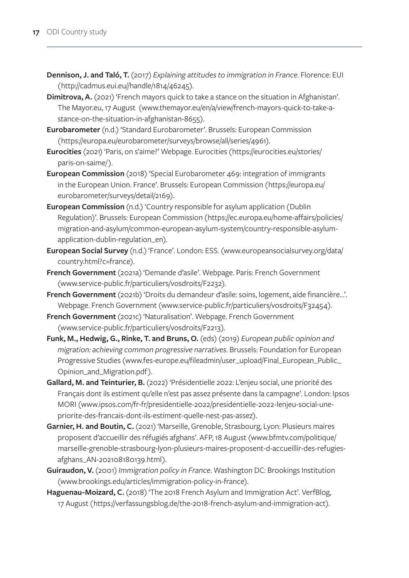- **Dennison, J. and Taló, T.** (2017) *Explaining attitudes to immigration in France*. Florence: EUI ([http://cadmus.eui.eu//handle/1814/46245\)](http://cadmus.eui.eu//handle/1814/46245).
- **Dimitrova, A.** (2021) 'French mayors quick to take a stance on the situation in Afghanistan'. The Mayor.eu, 17 August [\(www.themayor.eu/en/a/view/french-mayors-quick-to-take-a](http://www.themayor.eu/en/a/view/french-mayors-quick-to-take-a-stance-on-the-situation-in-afghanistan-8655)[stance-on-the-situation-in-afghanistan-8655](http://www.themayor.eu/en/a/view/french-mayors-quick-to-take-a-stance-on-the-situation-in-afghanistan-8655)).
- **Eurobarometer** (n.d.) 'Standard Eurobarometer'. Brussels: European Commission (<https://europa.eu/eurobarometer/surveys/browse/all/series/4961>).
- **Eurocities** (2021) 'Paris, on s'aime?' Webpage. Eurocities ([https://eurocities.eu/stories/](https://eurocities.eu/stories/paris-on-saime/) [paris-on-saime/\)](https://eurocities.eu/stories/paris-on-saime/).
- **European Commission** (2018) 'Special Eurobarometer 469: integration of immigrants in the European Union. France'. Brussels: European Commission ([https://europa.eu/](https://europa.eu/eurobarometer/surveys/detail/2169) [eurobarometer/surveys/detail/2169\)](https://europa.eu/eurobarometer/surveys/detail/2169).
- **European Commission** (n.d.) 'Country responsible for asylum application (Dublin Regulation)'. Brussels: European Commission ([https://ec.europa.eu/home-affairs/policies/](https://ec.europa.eu/home-affairs/policies/migration-and-asylum/common-european-asylum-system/country-responsible-asylum-application-dublin-regulation_en) [migration-and-asylum/common-european-asylum-system/country-responsible-asylum](https://ec.europa.eu/home-affairs/policies/migration-and-asylum/common-european-asylum-system/country-responsible-asylum-application-dublin-regulation_en)[application-dublin-regulation\\_en](https://ec.europa.eu/home-affairs/policies/migration-and-asylum/common-european-asylum-system/country-responsible-asylum-application-dublin-regulation_en)).
- **European Social Survey** (n.d.) 'France'. London: ESS. ([www.europeansocialsurvey.org/data/](http://www.europeansocialsurvey.org/data/country.html?c=france) [country.html?c=france\)](http://www.europeansocialsurvey.org/data/country.html?c=france).
- **French Government** (2021a) 'Demande d'asile'. Webpage. Paris: French Government [\(www.service-public.fr/particuliers/vosdroits/F2232\)](http://www.service-public.fr/particuliers/vosdroits/F2232).
- **French Government** (2021b) 'Droits du demandeur d'asile: soins, logement, aide financière…'. Webpage. French Government ([www.service-public.fr/particuliers/vosdroits/F32454](http://www.service-public.fr/particuliers/vosdroits/F32454)).
- **French Government** (2021c) 'Naturalisation'. Webpage. French Government [\(www.service-public.fr/particuliers/vosdroits/F2213\)](http://www.service-public.fr/particuliers/vosdroits/F2213).
- **Funk, M., Hedwig, G., Rinke, T. and Bruns, O.** (eds) (2019) *European public opinion and migration: achieving common progressive narratives*. Brussels: Foundation for European Progressive Studies [\(www.fes-europe.eu/fileadmin/user\\_upload/Final\\_European\\_Public\\_](http://www.fes-europe.eu/fileadmin/user_upload/Final_European_Public_Opinion_and_Migration.pdf) [Opinion\\_and\\_Migration.pdf](http://www.fes-europe.eu/fileadmin/user_upload/Final_European_Public_Opinion_and_Migration.pdf)).
- **Gallard, M. and Teinturier, B.** (2022) 'Présidentielle 2022: L'enjeu social, une priorité des Français dont ils estiment qu'elle n'est pas assez présente dans la campagne'. London: Ipsos MORI ([www.ipsos.com/fr-fr/presidentielle-2022/presidentielle-2022-lenjeu-social-une](http://www.ipsos.com/fr-fr/presidentielle-2022/presidentielle-2022-lenjeu-social-une-priorite-des-francais-dont-ils-estiment-quelle-nest-pas-assez)[priorite-des-francais-dont-ils-estiment-quelle-nest-pas-assez](http://www.ipsos.com/fr-fr/presidentielle-2022/presidentielle-2022-lenjeu-social-une-priorite-des-francais-dont-ils-estiment-quelle-nest-pas-assez)).
- **Garnier, H. and Boutin, C.** (2021) 'Marseille, Grenoble, Strasbourg, Lyon: Plusieurs maires proposent d'accueillir des réfugiés afghans'. AFP, 18 August [\(www.bfmtv.com/politique/](http://www.bfmtv.com/politique/marseille-grenoble-strasbourg-lyon-plusieurs-maires-proposent-d-accueillir-des-refugies-afghans_AN-202108180139.html) [marseille-grenoble-strasbourg-lyon-plusieurs-maires-proposent-d-accueillir-des-refugies](http://www.bfmtv.com/politique/marseille-grenoble-strasbourg-lyon-plusieurs-maires-proposent-d-accueillir-des-refugies-afghans_AN-202108180139.html)[afghans\\_AN-202108180139.html](http://www.bfmtv.com/politique/marseille-grenoble-strasbourg-lyon-plusieurs-maires-proposent-d-accueillir-des-refugies-afghans_AN-202108180139.html)).
- **Guiraudon, V.** (2001) *Immigration policy in France*. Washington DC: Brookings Institution [\(www.brookings.edu/articles/immigration-policy-in-france\)](http://www.brookings.edu/articles/immigration-policy-in-france).
- Haguenau-Moizard, C. (2018) 'The 2018 French Asylum and Immigration Act'. VerfBlog, 17 August (<https://verfassungsblog.de/the-2018-french-asylum-and-immigration-act>).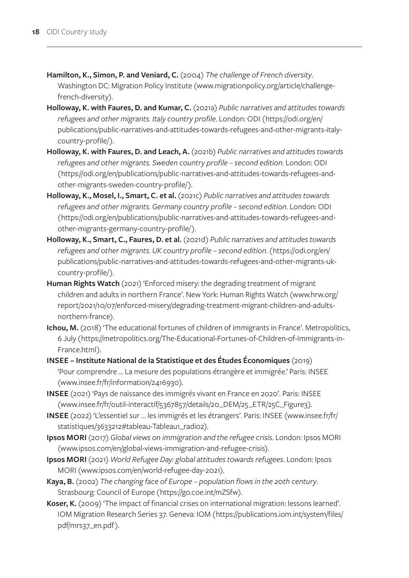- **Hamilton, K., Simon, P. and Veniard, C.** (2004) *The challenge of French diversity*. Washington DC: Migration Policy Institute [\(www.migrationpolicy.org/article/challenge](http://www.migrationpolicy.org/article/challenge-french-diversity)[french-diversity](http://www.migrationpolicy.org/article/challenge-french-diversity)).
- **Holloway, K. with Faures, D. and Kumar, C.** (2021a) *Public narratives and attitudes towards refugees and other migrants. Italy country profile*. London: ODI ([https://odi.org/en/](https://odi.org/en/publications/public-narratives-and-attitudes-towards-refugees-and-other-migrants-italy-country-profile/) [publications/public-narratives-and-attitudes-towards-refugees-and-other-migrants-italy](https://odi.org/en/publications/public-narratives-and-attitudes-towards-refugees-and-other-migrants-italy-country-profile/)[country-profile/\)](https://odi.org/en/publications/public-narratives-and-attitudes-towards-refugees-and-other-migrants-italy-country-profile/).
- **Holloway, K. with Faures, D. and Leach, A.** (2021b) *Public narratives and attitudes towards refugees and other migrants. Sweden country profile – second edition*. London: ODI ([https://odi.org/en/publications/public-narratives-and-attitudes-towards-refugees-and](https://odi.org/en/publications/public-narratives-and-attitudes-towards-refugees-and-other-migrants-sweden-country-profile/)[other-migrants-sweden-country-profile/\)](https://odi.org/en/publications/public-narratives-and-attitudes-towards-refugees-and-other-migrants-sweden-country-profile/).
- **Holloway, K., Mosel, I., Smart, C. et al.** (2021c) *Public narratives and attitudes towards refugees and other migrants. Germany country profile – second edition*. London: ODI ([https://odi.org/en/publications/public-narratives-and-attitudes-towards-refugees-and](https://odi.org/en/publications/public-narratives-and-attitudes-towards-refugees-and-other-migrants-germany-country-profile/)[other-migrants-germany-country-profile/](https://odi.org/en/publications/public-narratives-and-attitudes-towards-refugees-and-other-migrants-germany-country-profile/)).
- **Holloway, K., Smart, C., Faures, D. et al.** (2021d) *Public narratives and attitudes towards refugees and other migrants. UK country profile – second edition*. ([https://odi.org/en/](https://odi.org/en/publications/public-narratives-and-attitudes-towards-refugees-and-other-migrants-uk-country-profile/) [publications/public-narratives-and-attitudes-towards-refugees-and-other-migrants-uk](https://odi.org/en/publications/public-narratives-and-attitudes-towards-refugees-and-other-migrants-uk-country-profile/)[country-profile/\)](https://odi.org/en/publications/public-narratives-and-attitudes-towards-refugees-and-other-migrants-uk-country-profile/).
- **Human Rights Watch** (2021) 'Enforced misery: the degrading treatment of migrant children and adults in northern France'. New York: Human Rights Watch [\(www.hrw.org/](http://www.hrw.org/report/2021/10/07/enforced-misery/degrading-treatment-migrant-children-and-adults-northern-france) [report/2021/10/07/enforced-misery/degrading-treatment-migrant-children-and-adults](http://www.hrw.org/report/2021/10/07/enforced-misery/degrading-treatment-migrant-children-and-adults-northern-france)[northern-france](http://www.hrw.org/report/2021/10/07/enforced-misery/degrading-treatment-migrant-children-and-adults-northern-france)).
- **Ichou, M.** (2018) 'The educational fortunes of children of immigrants in France'. Metropolitics, 6 July ([https://metropolitics.org/The-Educational-Fortunes-of-Children-of-Immigrants-in-](https://metropolitics.org/The-Educational-Fortunes-of-Children-of-Immigrants-in-France.html)[France.html](https://metropolitics.org/The-Educational-Fortunes-of-Children-of-Immigrants-in-France.html)).
- **INSEE Institute National de la Statistique et des Études Économiques** (2019) 'Pour comprendre … La mesure des populations étrangère et immigrée.' Paris: INSEE [\(www.insee.fr/fr/information/2416930\)](http://www.insee.fr/fr/information/2416930).
- **INSEE** (2021) 'Pays de naissance des immigrés vivant en France en 2020'. Paris: INSEE [\(www.insee.fr/fr/outil-interactif/5367857/details/20\\_DEM/25\\_ETR/25C\\_Figure3](http://www.insee.fr/fr/outil-interactif/5367857/details/20_DEM/25_ETR/25C_Figure3)).
- **INSEE** (2022) 'L'essentiel sur … les immigrés et les étrangers'. Paris: INSEE (www.insee.fr/fr/ statistiques/3633212#tableau-Tableau1\_radio2).
- **Ipsos MORI** (2017) *Global views on immigration and the refugee crisis*. London: Ipsos MORI [\(www.ipsos.com/en/global-views-immigration-and-refugee-crisis\)](http://www.ipsos.com/en/global-views-immigration-and-refugee-crisis).
- **Ipsos MORI** (2021) *World Refugee Day: global attitudes towards refugees*. London: Ipsos MORI ([www.ipsos.com/en/world-refugee-day-2021](http://www.ipsos.com/en/world-refugee-day-2021)).
- **Kaya, B.** (2002) *The changing face of Europe population flows in the 20th century*. Strasbourg: Council of Europe ([https://go.coe.int/mZSfw\)](https://go.coe.int/mZSfw).
- **Koser, K.** (2009) 'The impact of financial crises on international migration: lessons learned'. IOM Migration Research Series 37. Geneva: IOM ([https://publications.iom.int/system/files/](https://publications.iom.int/system/files/pdf/mrs37_en.pdf) [pdf/mrs37\\_en.pdf](https://publications.iom.int/system/files/pdf/mrs37_en.pdf)).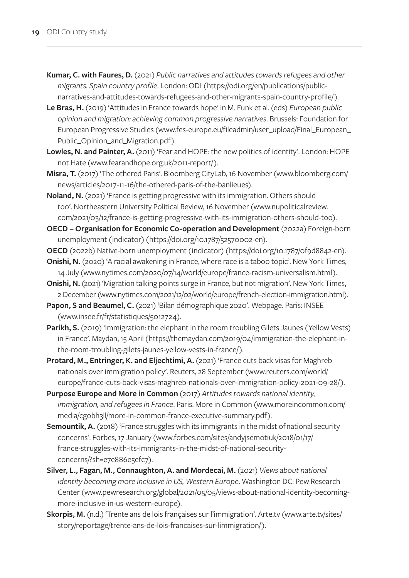- **Kumar, C. with Faures, D.** (2021) *Public narratives and attitudes towards refugees and other migrants. Spain country profile*. London: ODI ([https://odi.org/en/publications/public](https://odi.org/en/publications/public-narratives-and-attitudes-towards-refugees-and-other-migrants-spain-country-profile/)[narratives-and-attitudes-towards-refugees-and-other-migrants-spain-country-profile/\)](https://odi.org/en/publications/public-narratives-and-attitudes-towards-refugees-and-other-migrants-spain-country-profile/).
- **Le Bras, H.** (2019) 'Attitudes in France towards hope' in M. Funk et al. (eds) *European public opinion and migration: achieving common progressive narratives*. Brussels: Foundation for European Progressive Studies ([www.fes-europe.eu/fileadmin/user\\_upload/Final\\_European\\_](http://www.fes-europe.eu/fileadmin/user_upload/Final_European_Public_Opinion_and_Migration.pdf) [Public\\_Opinion\\_and\\_Migration.pdf\)](http://www.fes-europe.eu/fileadmin/user_upload/Final_European_Public_Opinion_and_Migration.pdf).
- Lowles, N. and Painter, A. (2011) 'Fear and HOPE: the new politics of identity'. London: HOPE not Hate ([www.fearandhope.org.uk/2011-report/](http://www.fearandhope.org.uk/2011-report/)).
- **Misra, T.** (2017) 'The othered Paris'. Bloomberg CityLab, 16 November ([www.bloomberg.com/](http://www.bloomberg.com/news/articles/2017-11-16/the-othered-paris-of-the-banlieues) [news/articles/2017-11-16/the-othered-paris-of-the-banlieues](http://www.bloomberg.com/news/articles/2017-11-16/the-othered-paris-of-the-banlieues)).
- **Noland, N.** (2021) 'France is getting progressive with its immigration. Others should too'. Northeastern University Political Review, 16 November [\(www.nupoliticalreview.](http://www.nupoliticalreview.com/2021/03/12/france-is-getting-progressive-with-its-immigration-others-should-too) [com/2021/03/12/france-is-getting-progressive-with-its-immigration-others-should-too](http://www.nupoliticalreview.com/2021/03/12/france-is-getting-progressive-with-its-immigration-others-should-too)).
- **OECD Organisation for Economic Co-operation and Development** (2022a) Foreign-born unemployment (indicator) ([https://doi.org/10.1787/52570002-en\)](https://doi.org/10.1787/52570002-en).
- **OECD** (2022b) Native-born unemployment (indicator) ([https://doi.org/10.1787/0f9d8842-en\)](https://doi.org/10.1787/0f9d8842-en).
- **Onishi, N.** (2020) 'A racial awakening in France, where race is a taboo topic'. New York Times, 14 July ([www.nytimes.com/2020/07/14/world/europe/france-racism-universalism.html](http://www.nytimes.com/2020/07/14/world/europe/france-racism-universalism.html)).
- **Onishi, N.** (2021) 'Migration talking points surge in France, but not migration'. New York Times, 2 December [\(www.nytimes.com/2021/12/02/world/europe/french-election-immigration.html\)](http://www.nytimes.com/2021/12/02/world/europe/french-election-immigration.html).
- Papon, S and Beaumel, C. (2021) 'Bilan démographique 2020'. Webpage. Paris: INSEE [\(www.insee.fr/fr/statistiques/5012724\)](http://www.insee.fr/fr/statistiques/5012724).
- **Parikh, S.** (2019) 'Immigration: the elephant in the room troubling Gilets Jaunes (Yellow Vests) in France'. Maydan, 15 April ([https://themaydan.com/2019/04/immigration-the-elephant-in](https://themaydan.com/2019/04/immigration-the-elephant-in-the-room-troubling-gilets-jaunes-yellow-vests-in-france/)[the-room-troubling-gilets-jaunes-yellow-vests-in-france/\)](https://themaydan.com/2019/04/immigration-the-elephant-in-the-room-troubling-gilets-jaunes-yellow-vests-in-france/).
- **Protard, M., Entringer, K. and Eljechtimi, A.** (2021) 'France cuts back visas for Maghreb nationals over immigration policy'. Reuters, 28 September [\(www.reuters.com/world/](http://www.reuters.com/world/europe/france-cuts-back-visas-maghreb-nationals-over-immigration-policy-2021-09-28/) [europe/france-cuts-back-visas-maghreb-nationals-over-immigration-policy-2021-09-28/\)](http://www.reuters.com/world/europe/france-cuts-back-visas-maghreb-nationals-over-immigration-policy-2021-09-28/).
- **Purpose Europe and More in Common** (2017) *Attitudes towards national identity, immigration, and refugees in France*. Paris: More in Common ([www.moreincommon.com/](http://www.moreincommon.com/media/cgobh3ll/more-in-common-france-executive-summary.pdf) [media/cgobh3ll/more-in-common-france-executive-summary.pdf\)](http://www.moreincommon.com/media/cgobh3ll/more-in-common-france-executive-summary.pdf).
- **Semountik, A.** (2018) 'France struggles with its immigrants in the midst of national security concerns'. Forbes, 17 January [\(www.forbes.com/sites/andyjsemotiuk/2018/01/17/](http://www.forbes.com/sites/andyjsemotiuk/2018/01/17/france-struggles-with-its-immigrants-in-the-midst-of-national-security-concerns/?sh=e7e886e5efc7) [france-struggles-with-its-immigrants-in-the-midst-of-national-security](http://www.forbes.com/sites/andyjsemotiuk/2018/01/17/france-struggles-with-its-immigrants-in-the-midst-of-national-security-concerns/?sh=e7e886e5efc7)[concerns/?sh=e7e886e5efc7](http://www.forbes.com/sites/andyjsemotiuk/2018/01/17/france-struggles-with-its-immigrants-in-the-midst-of-national-security-concerns/?sh=e7e886e5efc7)).
- **Silver, L., Fagan, M., Connaughton, A. and Mordecai, M.** (2021) *Views about national identity becoming more inclusive in US, Western Europe*. Washington DC: Pew Research Center ([www.pewresearch.org/global/2021/05/05/views-about-national-identity-becoming](http://www.pewresearch.org/global/2021/05/05/views-about-national-identity-becoming-more-inclusive-in-us-western-europe)[more-inclusive-in-us-western-europe](http://www.pewresearch.org/global/2021/05/05/views-about-national-identity-becoming-more-inclusive-in-us-western-europe)).
- Skorpis, M. (n.d.) 'Trente ans de lois françaises sur l'immigration'. Arte.tv [\(www.arte.tv/sites/](http://www.arte.tv/sites/story/reportage/trente-ans-de-lois-francaises-sur-limmigration/) [story/reportage/trente-ans-de-lois-francaises-sur-limmigration/](http://www.arte.tv/sites/story/reportage/trente-ans-de-lois-francaises-sur-limmigration/)).